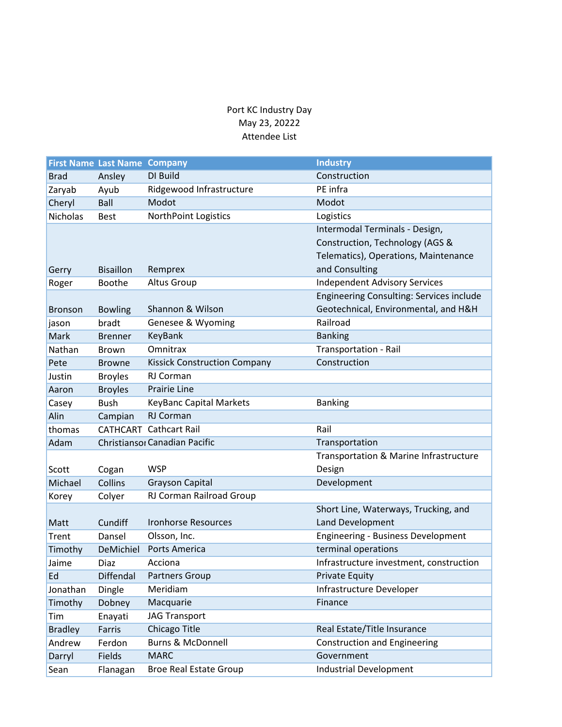## Port KC Industry Day May 23, 20222 Attendee List

|                | <b>First Name Last Name Company</b> |                                     | <b>Industry</b>                                 |
|----------------|-------------------------------------|-------------------------------------|-------------------------------------------------|
| <b>Brad</b>    | Ansley                              | DI Build                            | Construction                                    |
| Zaryab         | Ayub                                | Ridgewood Infrastructure            | PE infra                                        |
| Cheryl         | Ball                                | Modot                               | Modot                                           |
| Nicholas       | <b>Best</b>                         | <b>NorthPoint Logistics</b>         | Logistics                                       |
|                |                                     |                                     | Intermodal Terminals - Design,                  |
|                |                                     |                                     | Construction, Technology (AGS &                 |
|                |                                     |                                     | Telematics), Operations, Maintenance            |
| Gerry          | <b>Bisaillon</b>                    | Remprex                             | and Consulting                                  |
| Roger          | <b>Boothe</b>                       | <b>Altus Group</b>                  | <b>Independent Advisory Services</b>            |
|                |                                     |                                     | <b>Engineering Consulting: Services include</b> |
| <b>Bronson</b> | <b>Bowling</b>                      | Shannon & Wilson                    | Geotechnical, Environmental, and H&H            |
| jason          | bradt                               | Genesee & Wyoming                   | Railroad                                        |
| Mark           | <b>Brenner</b>                      | KeyBank                             | <b>Banking</b>                                  |
| Nathan         | Brown                               | Omnitrax                            | <b>Transportation - Rail</b>                    |
| Pete           | <b>Browne</b>                       | <b>Kissick Construction Company</b> | Construction                                    |
| Justin         | <b>Broyles</b>                      | RJ Corman                           |                                                 |
| Aaron          | <b>Broyles</b>                      | Prairie Line                        |                                                 |
| Casey          | <b>Bush</b>                         | <b>KeyBanc Capital Markets</b>      | <b>Banking</b>                                  |
| Alin           | Campian                             | RJ Corman                           |                                                 |
| thomas         |                                     | <b>CATHCART Cathcart Rail</b>       | Rail                                            |
| Adam           |                                     | Christiansor Canadian Pacific       | Transportation                                  |
|                |                                     |                                     | Transportation & Marine Infrastructure          |
| Scott          | Cogan                               | <b>WSP</b>                          | Design                                          |
| Michael        | Collins                             | <b>Grayson Capital</b>              | Development                                     |
| Korey          | Colyer                              | RJ Corman Railroad Group            |                                                 |
|                |                                     |                                     | Short Line, Waterways, Trucking, and            |
| Matt           | Cundiff                             | <b>Ironhorse Resources</b>          | Land Development                                |
| Trent          | Dansel                              | Olsson, Inc.                        | <b>Engineering - Business Development</b>       |
| Timothy        | DeMichiel                           | Ports America                       | terminal operations                             |
| Jaime          | Diaz                                | Acciona                             | Infrastructure investment, construction         |
| Ed             | Diffendal                           | <b>Partners Group</b>               | <b>Private Equity</b>                           |
| Jonathan       | Dingle                              | Meridiam                            | Infrastructure Developer                        |
| Timothy        | Dobney                              | Macquarie                           | Finance                                         |
| Tim            | Enayati                             | <b>JAG Transport</b>                |                                                 |
| <b>Bradley</b> | Farris                              | Chicago Title                       | Real Estate/Title Insurance                     |
| Andrew         | Ferdon                              | <b>Burns &amp; McDonnell</b>        | <b>Construction and Engineering</b>             |
| Darryl         | Fields                              | <b>MARC</b>                         | Government                                      |
| Sean           | Flanagan                            | <b>Broe Real Estate Group</b>       | <b>Industrial Development</b>                   |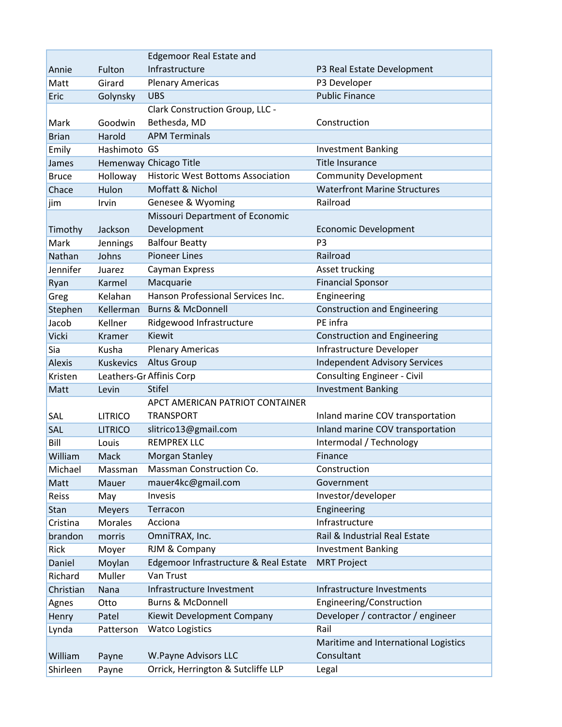|              |                  | <b>Edgemoor Real Estate and</b>          |                                      |
|--------------|------------------|------------------------------------------|--------------------------------------|
| Annie        | Fulton           | Infrastructure                           | P3 Real Estate Development           |
| Matt         | Girard           | <b>Plenary Americas</b>                  | P3 Developer                         |
| Eric         | Golynsky         | <b>UBS</b>                               | <b>Public Finance</b>                |
|              |                  | Clark Construction Group, LLC -          |                                      |
| Mark         | Goodwin          | Bethesda, MD                             | Construction                         |
| <b>Brian</b> | Harold           | <b>APM Terminals</b>                     |                                      |
| Emily        | Hashimoto GS     |                                          | <b>Investment Banking</b>            |
| James        |                  | Hemenway Chicago Title                   | <b>Title Insurance</b>               |
| <b>Bruce</b> | Holloway         | <b>Historic West Bottoms Association</b> | <b>Community Development</b>         |
| Chace        | Hulon            | Moffatt & Nichol                         | <b>Waterfront Marine Structures</b>  |
| jim          | Irvin            | Genesee & Wyoming                        | Railroad                             |
|              |                  | Missouri Department of Economic          |                                      |
| Timothy      | Jackson          | Development                              | <b>Economic Development</b>          |
| Mark         | Jennings         | <b>Balfour Beatty</b>                    | P <sub>3</sub>                       |
| Nathan       | Johns            | <b>Pioneer Lines</b>                     | Railroad                             |
| Jennifer     | Juarez           | Cayman Express                           | Asset trucking                       |
| Ryan         | Karmel           | Macquarie                                | <b>Financial Sponsor</b>             |
| Greg         | Kelahan          | Hanson Professional Services Inc.        | Engineering                          |
| Stephen      | Kellerman        | <b>Burns &amp; McDonnell</b>             | <b>Construction and Engineering</b>  |
| Jacob        | Kellner          | Ridgewood Infrastructure                 | PE infra                             |
| Vicki        | Kramer           | Kiewit                                   | <b>Construction and Engineering</b>  |
| Sia          | Kusha            | <b>Plenary Americas</b>                  | Infrastructure Developer             |
| Alexis       | <b>Kuskevics</b> | <b>Altus Group</b>                       | <b>Independent Advisory Services</b> |
| Kristen      |                  | Leathers-Gr Affinis Corp                 | <b>Consulting Engineer - Civil</b>   |
| Matt         | Levin            | <b>Stifel</b>                            | <b>Investment Banking</b>            |
|              |                  | APCT AMERICAN PATRIOT CONTAINER          |                                      |
| <b>SAL</b>   | <b>LITRICO</b>   | <b>TRANSPORT</b>                         | Inland marine COV transportation     |
| SAL          | <b>LITRICO</b>   | slitrico13@gmail.com                     | Inland marine COV transportation     |
| Bill         | Louis            | <b>REMPREX LLC</b>                       | Intermodal / Technology              |
| William      | Mack             | Morgan Stanley                           | Finance                              |
| Michael      | Massman          | Massman Construction Co.                 | Construction                         |
| Matt         | Mauer            | mauer4kc@gmail.com                       | Government                           |
| Reiss        | May              | Invesis                                  | Investor/developer                   |
| Stan         | <b>Meyers</b>    | Terracon                                 | Engineering                          |
| Cristina     | <b>Morales</b>   | Acciona                                  | Infrastructure                       |
| brandon      | morris           | OmniTRAX, Inc.                           | Rail & Industrial Real Estate        |
| Rick         | Moyer            | RJM & Company                            | <b>Investment Banking</b>            |
| Daniel       | Moylan           | Edgemoor Infrastructure & Real Estate    | <b>MRT Project</b>                   |
| Richard      | Muller           | Van Trust                                |                                      |
| Christian    | Nana             | Infrastructure Investment                | Infrastructure Investments           |
| Agnes        | Otto             | <b>Burns &amp; McDonnell</b>             | Engineering/Construction             |
| Henry        | Patel            | Kiewit Development Company               | Developer / contractor / engineer    |
| Lynda        | Patterson        | <b>Watco Logistics</b>                   | Rail                                 |
|              |                  |                                          | Maritime and International Logistics |
| William      | Payne            | W.Payne Advisors LLC                     | Consultant                           |
| Shirleen     | Payne            | Orrick, Herrington & Sutcliffe LLP       | Legal                                |